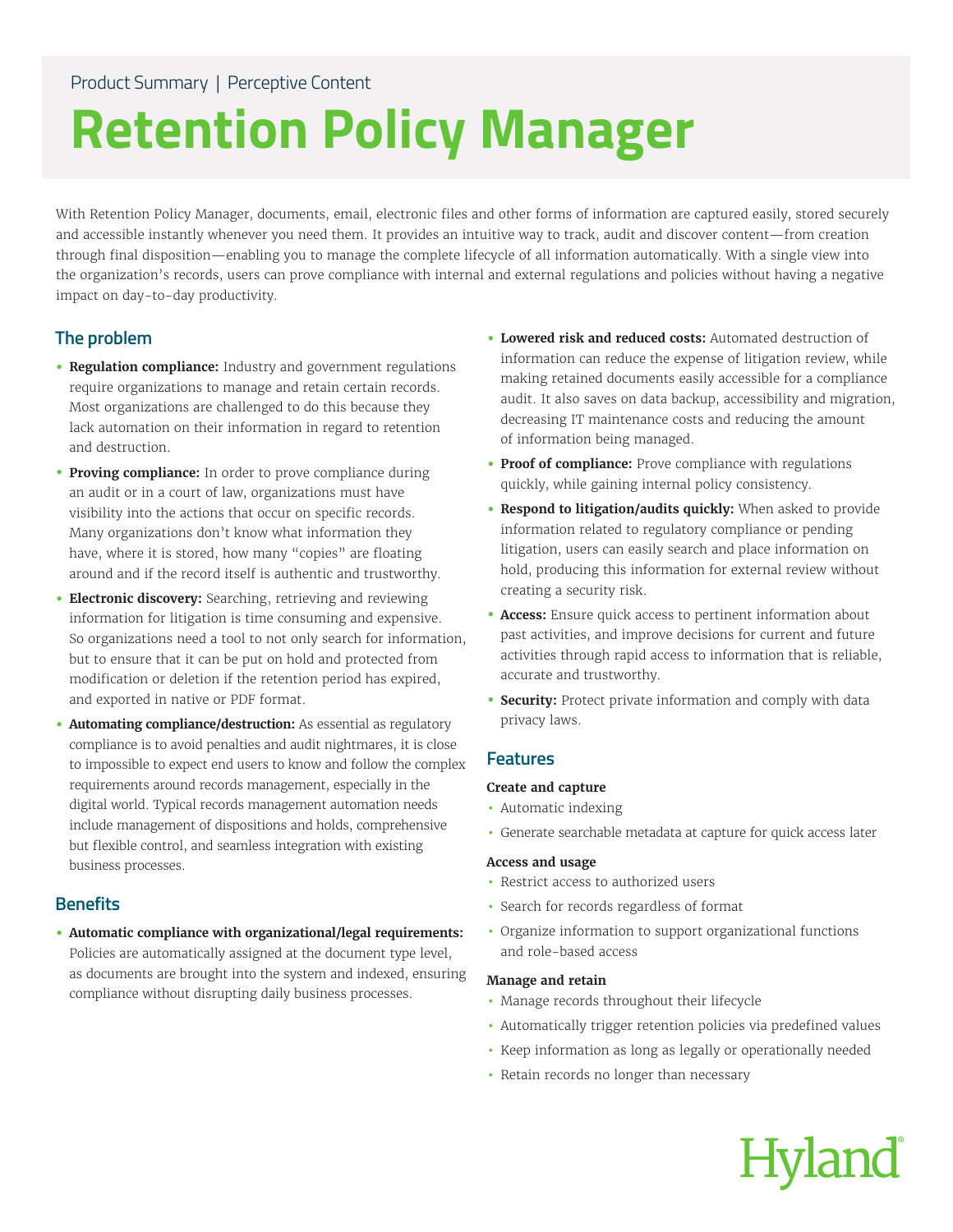# **Retention Policy Manager**

With Retention Policy Manager, documents, email, electronic files and other forms of information are captured easily, stored securely and accessible instantly whenever you need them. It provides an intuitive way to track, audit and discover content—from creation through final disposition—enabling you to manage the complete lifecycle of all information automatically. With a single view into the organization's records, users can prove compliance with internal and external regulations and policies without having a negative impact on day-to-day productivity.

# **The problem**

- **• Regulation compliance:** Industry and government regulations require organizations to manage and retain certain records. Most organizations are challenged to do this because they lack automation on their information in regard to retention and destruction.
- **• Proving compliance:** In order to prove compliance during an audit or in a court of law, organizations must have visibility into the actions that occur on specific records. Many organizations don't know what information they have, where it is stored, how many "copies" are floating around and if the record itself is authentic and trustworthy.
- **• Electronic discovery:** Searching, retrieving and reviewing information for litigation is time consuming and expensive. So organizations need a tool to not only search for information, but to ensure that it can be put on hold and protected from modification or deletion if the retention period has expired, and exported in native or PDF format.
- **• Automating compliance/destruction:** As essential as regulatory compliance is to avoid penalties and audit nightmares, it is close to impossible to expect end users to know and follow the complex requirements around records management, especially in the digital world. Typical records management automation needs include management of dispositions and holds, comprehensive but flexible control, and seamless integration with existing business processes.

# **Benefits**

**• Automatic compliance with organizational/legal requirements:** Policies are automatically assigned at the document type level, as documents are brought into the system and indexed, ensuring compliance without disrupting daily business processes.

- **• Lowered risk and reduced costs:** Automated destruction of information can reduce the expense of litigation review, while making retained documents easily accessible for a compliance audit. It also saves on data backup, accessibility and migration, decreasing IT maintenance costs and reducing the amount of information being managed.
- **• Proof of compliance:** Prove compliance with regulations quickly, while gaining internal policy consistency.
- **• Respond to litigation/audits quickly:** When asked to provide information related to regulatory compliance or pending litigation, users can easily search and place information on hold, producing this information for external review without creating a security risk.
- **• Access:** Ensure quick access to pertinent information about past activities, and improve decisions for current and future activities through rapid access to information that is reliable, accurate and trustworthy.
- **• Security:** Protect private information and comply with data privacy laws.

# **Features**

## **Create and capture**

- Automatic indexing
- Generate searchable metadata at capture for quick access later

## **Access and usage**

- Restrict access to authorized users
- Search for records regardless of format
- Organize information to support organizational functions and role-based access

## **Manage and retain**

- Manage records throughout their lifecycle
- Automatically trigger retention policies via predefined values
- Keep information as long as legally or operationally needed
- Retain records no longer than necessary